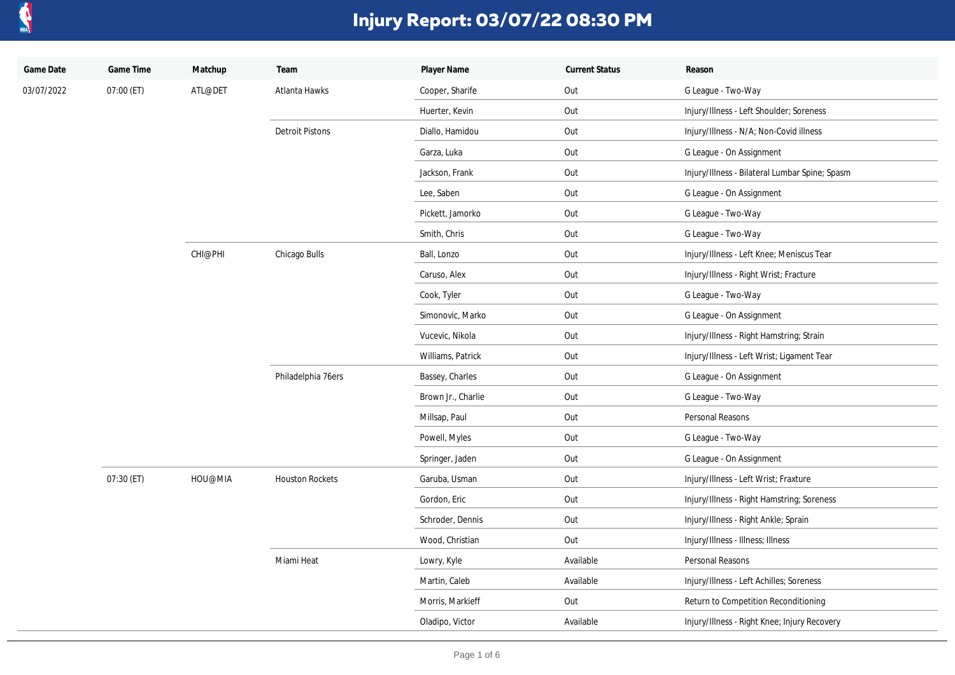

| Game Date  | Game Time  | Matchup | Team                   | Player Name        | <b>Current Status</b> | Reason                                         |
|------------|------------|---------|------------------------|--------------------|-----------------------|------------------------------------------------|
| 03/07/2022 | 07:00 (ET) | ATL@DET | Atlanta Hawks          | Cooper, Sharife    | Out                   | G League - Two-Way                             |
|            |            |         |                        | Huerter, Kevin     | Out                   | Injury/Illness - Left Shoulder; Soreness       |
|            |            |         | <b>Detroit Pistons</b> | Diallo, Hamidou    | Out                   | Injury/Illness - N/A; Non-Covid illness        |
|            |            |         |                        | Garza, Luka        | Out                   | G League - On Assignment                       |
|            |            |         |                        | Jackson, Frank     | Out                   | Injury/Illness - Bilateral Lumbar Spine; Spasm |
|            |            |         |                        | Lee, Saben         | Out                   | G League - On Assignment                       |
|            |            |         |                        | Pickett, Jamorko   | Out                   | G League - Two-Way                             |
|            |            |         |                        | Smith, Chris       | Out                   | G League - Two-Way                             |
|            |            | CHI@PHI | Chicago Bulls          | Ball, Lonzo        | Out                   | Injury/Illness - Left Knee; Meniscus Tear      |
|            |            |         |                        | Caruso, Alex       | Out                   | Injury/Illness - Right Wrist; Fracture         |
|            |            |         |                        | Cook, Tyler        | Out                   | G League - Two-Way                             |
|            |            |         |                        | Simonovic, Marko   | Out                   | G League - On Assignment                       |
|            |            |         |                        | Vucevic, Nikola    | Out                   | Injury/Illness - Right Hamstring; Strain       |
|            |            |         |                        | Williams, Patrick  | Out                   | Injury/Illness - Left Wrist; Ligament Tear     |
|            |            |         | Philadelphia 76ers     | Bassey, Charles    | Out                   | G League - On Assignment                       |
|            |            |         |                        | Brown Jr., Charlie | Out                   | G League - Two-Way                             |
|            |            |         |                        | Millsap, Paul      | Out                   | Personal Reasons                               |
|            |            |         |                        | Powell, Myles      | Out                   | G League - Two-Way                             |
|            |            |         |                        | Springer, Jaden    | Out                   | G League - On Assignment                       |
|            | 07:30 (ET) | HOU@MIA | <b>Houston Rockets</b> | Garuba, Usman      | Out                   | Injury/Illness - Left Wrist; Fraxture          |
|            |            |         |                        | Gordon, Eric       | Out                   | Injury/Illness - Right Hamstring; Soreness     |
|            |            |         |                        | Schroder, Dennis   | Out                   | Injury/Illness - Right Ankle; Sprain           |
|            |            |         |                        | Wood, Christian    | Out                   | Injury/Illness - Illness; Illness              |
|            |            |         | Miami Heat             | Lowry, Kyle        | Available             | Personal Reasons                               |
|            |            |         |                        | Martin, Caleb      | Available             | Injury/Illness - Left Achilles; Soreness       |
|            |            |         |                        | Morris, Markieff   | Out                   | Return to Competition Reconditioning           |
|            |            |         |                        | Oladipo, Victor    | Available             | Injury/Illness - Right Knee; Injury Recovery   |
|            |            |         |                        |                    |                       |                                                |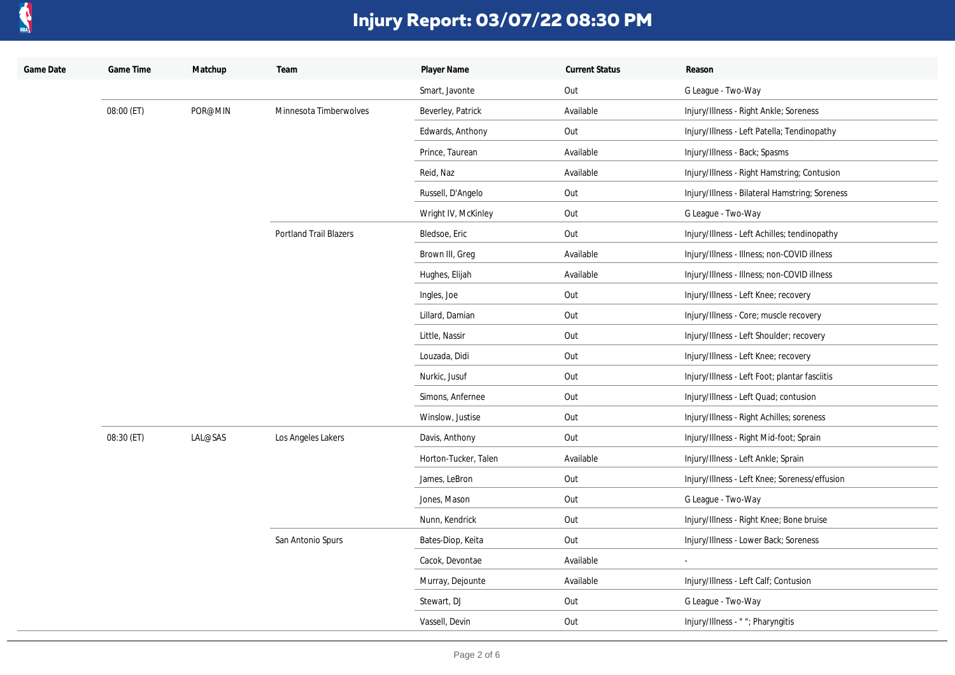

| Game Date | Game Time  | Matchup | Team                          | Player Name          | <b>Current Status</b> | Reason                                         |
|-----------|------------|---------|-------------------------------|----------------------|-----------------------|------------------------------------------------|
|           |            |         |                               | Smart, Javonte       | Out                   | G League - Two-Way                             |
|           | 08:00 (ET) | POR@MIN | Minnesota Timberwolves        | Beverley, Patrick    | Available             | Injury/Illness - Right Ankle; Soreness         |
|           |            |         |                               | Edwards, Anthony     | Out                   | Injury/Illness - Left Patella; Tendinopathy    |
|           |            |         |                               | Prince, Taurean      | Available             | Injury/Illness - Back; Spasms                  |
|           |            |         |                               | Reid, Naz            | Available             | Injury/Illness - Right Hamstring; Contusion    |
|           |            |         |                               | Russell, D'Angelo    | Out                   | Injury/Illness - Bilateral Hamstring; Soreness |
|           |            |         |                               | Wright IV, McKinley  | Out                   | G League - Two-Way                             |
|           |            |         | <b>Portland Trail Blazers</b> | Bledsoe, Eric        | Out                   | Injury/Illness - Left Achilles; tendinopathy   |
|           |            |         |                               | Brown III, Greg      | Available             | Injury/Illness - Illness; non-COVID illness    |
|           |            |         |                               | Hughes, Elijah       | Available             | Injury/Illness - Illness; non-COVID illness    |
|           |            |         |                               | Ingles, Joe          | Out                   | Injury/Illness - Left Knee; recovery           |
|           |            |         |                               | Lillard, Damian      | Out                   | Injury/Illness - Core; muscle recovery         |
|           |            |         |                               | Little, Nassir       | Out                   | Injury/Illness - Left Shoulder; recovery       |
|           |            |         |                               | Louzada, Didi        | Out                   | Injury/Illness - Left Knee; recovery           |
|           |            |         |                               | Nurkic, Jusuf        | Out                   | Injury/Illness - Left Foot; plantar fasciitis  |
|           |            |         |                               | Simons, Anfernee     | Out                   | Injury/Illness - Left Quad; contusion          |
|           |            |         |                               | Winslow, Justise     | Out                   | Injury/Illness - Right Achilles; soreness      |
|           | 08:30 (ET) | LAL@SAS | Los Angeles Lakers            | Davis, Anthony       | Out                   | Injury/Illness - Right Mid-foot; Sprain        |
|           |            |         |                               | Horton-Tucker, Talen | Available             | Injury/Illness - Left Ankle; Sprain            |
|           |            |         |                               | James, LeBron        | Out                   | Injury/Illness - Left Knee; Soreness/effusion  |
|           |            |         |                               | Jones, Mason         | Out                   | G League - Two-Way                             |
|           |            |         |                               | Nunn, Kendrick       | Out                   | Injury/Illness - Right Knee; Bone bruise       |
|           |            |         | San Antonio Spurs             | Bates-Diop, Keita    | Out                   | Injury/Illness - Lower Back; Soreness          |
|           |            |         |                               | Cacok, Devontae      | Available             |                                                |
|           |            |         |                               | Murray, Dejounte     | Available             | Injury/Illness - Left Calf; Contusion          |
|           |            |         |                               | Stewart, DJ          | Out                   | G League - Two-Way                             |
|           |            |         |                               | Vassell, Devin       | Out                   | Injury/Illness - ""; Pharyngitis               |
|           |            |         |                               |                      |                       |                                                |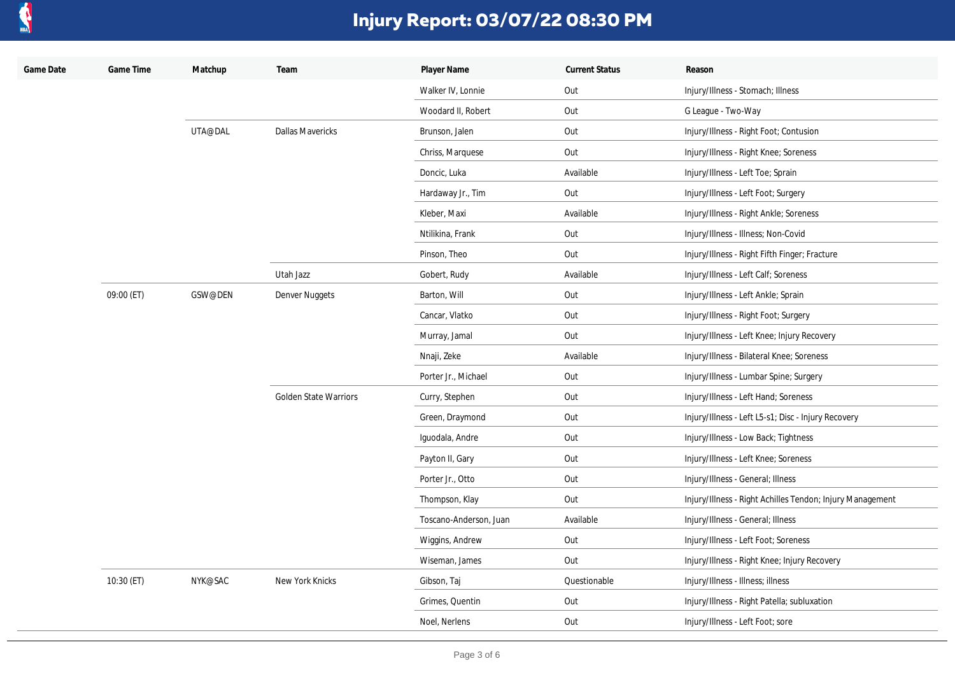

| Game Date | Game Time  | Matchup | Team                         | Player Name            | <b>Current Status</b> | Reason                                                    |
|-----------|------------|---------|------------------------------|------------------------|-----------------------|-----------------------------------------------------------|
|           |            |         |                              | Walker IV, Lonnie      | Out                   | Injury/Illness - Stomach; Illness                         |
|           |            |         |                              | Woodard II, Robert     | Out                   | G League - Two-Way                                        |
|           |            | UTA@DAL | <b>Dallas Mavericks</b>      | Brunson, Jalen         | Out                   | Injury/Illness - Right Foot; Contusion                    |
|           |            |         |                              | Chriss, Marquese       | Out                   | Injury/Illness - Right Knee; Soreness                     |
|           |            |         |                              | Doncic, Luka           | Available             | Injury/Illness - Left Toe; Sprain                         |
|           |            |         |                              | Hardaway Jr., Tim      | Out                   | Injury/Illness - Left Foot; Surgery                       |
|           |            |         |                              | Kleber, Maxi           | Available             | Injury/Illness - Right Ankle; Soreness                    |
|           |            |         |                              | Ntilikina, Frank       | Out                   | Injury/Illness - Illness; Non-Covid                       |
|           |            |         |                              | Pinson, Theo           | Out                   | Injury/Illness - Right Fifth Finger; Fracture             |
|           |            |         | Utah Jazz                    | Gobert, Rudy           | Available             | Injury/Illness - Left Calf; Soreness                      |
|           | 09:00 (ET) | GSW@DEN | Denver Nuggets               | Barton, Will           | Out                   | Injury/Illness - Left Ankle; Sprain                       |
|           |            |         |                              | Cancar, Vlatko         | Out                   | Injury/Illness - Right Foot; Surgery                      |
|           |            |         |                              | Murray, Jamal          | Out                   | Injury/Illness - Left Knee; Injury Recovery               |
|           |            |         |                              | Nnaji, Zeke            | Available             | Injury/Illness - Bilateral Knee; Soreness                 |
|           |            |         |                              | Porter Jr., Michael    | Out                   | Injury/Illness - Lumbar Spine; Surgery                    |
|           |            |         | <b>Golden State Warriors</b> | Curry, Stephen         | Out                   | Injury/Illness - Left Hand; Soreness                      |
|           |            |         |                              | Green, Draymond        | Out                   | Injury/Illness - Left L5-s1; Disc - Injury Recovery       |
|           |            |         |                              | Iguodala, Andre        | Out                   | Injury/Illness - Low Back; Tightness                      |
|           |            |         |                              | Payton II, Gary        | Out                   | Injury/Illness - Left Knee; Soreness                      |
|           |            |         |                              | Porter Jr., Otto       | Out                   | Injury/Illness - General; Illness                         |
|           |            |         |                              | Thompson, Klay         | Out                   | Injury/Illness - Right Achilles Tendon; Injury Management |
|           |            |         |                              | Toscano-Anderson, Juan | Available             | Injury/Illness - General; Illness                         |
|           |            |         |                              | Wiggins, Andrew        | Out                   | Injury/Illness - Left Foot; Soreness                      |
|           |            |         |                              | Wiseman, James         | Out                   | Injury/Illness - Right Knee; Injury Recovery              |
|           | 10:30 (ET) | NYK@SAC | New York Knicks              | Gibson, Taj            | Questionable          | Injury/Illness - Illness; illness                         |
|           |            |         |                              | Grimes, Quentin        | Out                   | Injury/Illness - Right Patella; subluxation               |
|           |            |         |                              | Noel, Nerlens          | Out                   | Injury/Illness - Left Foot; sore                          |
|           |            |         |                              |                        |                       |                                                           |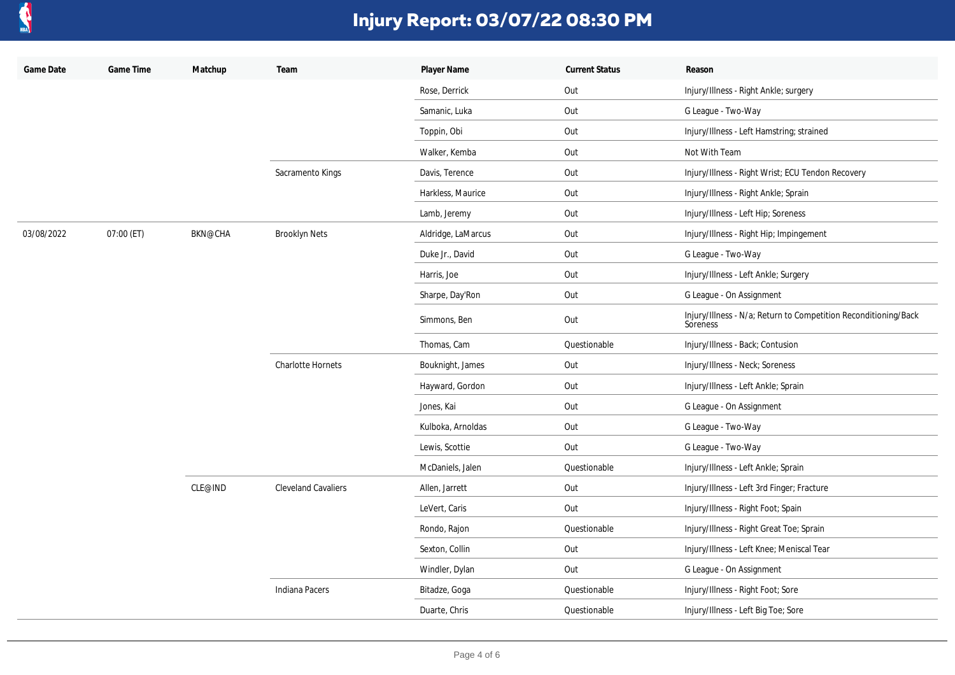

| Game Date  | Game Time  | Matchup        | Team                       | Player Name        | <b>Current Status</b> | Reason                                                                      |
|------------|------------|----------------|----------------------------|--------------------|-----------------------|-----------------------------------------------------------------------------|
|            |            |                |                            | Rose, Derrick      | Out                   | Injury/Illness - Right Ankle; surgery                                       |
|            |            |                |                            | Samanic, Luka      | Out                   | G League - Two-Way                                                          |
|            |            |                |                            | Toppin, Obi        | Out                   | Injury/Illness - Left Hamstring; strained                                   |
|            |            |                |                            | Walker, Kemba      | Out                   | Not With Team                                                               |
|            |            |                | Sacramento Kings           | Davis, Terence     | Out                   | Injury/Illness - Right Wrist; ECU Tendon Recovery                           |
|            |            |                |                            | Harkless, Maurice  | Out                   | Injury/Illness - Right Ankle; Sprain                                        |
|            |            |                |                            | Lamb, Jeremy       | Out                   | Injury/Illness - Left Hip; Soreness                                         |
| 03/08/2022 | 07:00 (ET) | <b>BKN@CHA</b> | <b>Brooklyn Nets</b>       | Aldridge, LaMarcus | Out                   | Injury/Illness - Right Hip; Impingement                                     |
|            |            |                |                            | Duke Jr., David    | Out                   | G League - Two-Way                                                          |
|            |            |                |                            | Harris, Joe        | Out                   | Injury/Illness - Left Ankle; Surgery                                        |
|            |            |                |                            | Sharpe, Day'Ron    | Out                   | G League - On Assignment                                                    |
|            |            |                |                            | Simmons, Ben       | Out                   | Injury/Illness - N/a; Return to Competition Reconditioning/Back<br>Soreness |
|            |            |                |                            | Thomas, Cam        | Questionable          | Injury/Illness - Back; Contusion                                            |
|            |            |                | <b>Charlotte Hornets</b>   | Bouknight, James   | Out                   | Injury/Illness - Neck; Soreness                                             |
|            |            |                |                            | Hayward, Gordon    | Out                   | Injury/Illness - Left Ankle; Sprain                                         |
|            |            |                |                            | Jones, Kai         | Out                   | G League - On Assignment                                                    |
|            |            |                |                            | Kulboka, Arnoldas  | Out                   | G League - Two-Way                                                          |
|            |            |                |                            | Lewis, Scottie     | Out                   | G League - Two-Way                                                          |
|            |            |                |                            | McDaniels, Jalen   | Questionable          | Injury/Illness - Left Ankle; Sprain                                         |
|            |            | CLE@IND        | <b>Cleveland Cavaliers</b> | Allen, Jarrett     | Out                   | Injury/Illness - Left 3rd Finger; Fracture                                  |
|            |            |                |                            | LeVert, Caris      | Out                   | Injury/Illness - Right Foot; Spain                                          |
|            |            |                |                            | Rondo, Rajon       | Questionable          | Injury/Illness - Right Great Toe; Sprain                                    |
|            |            |                |                            | Sexton, Collin     | Out                   | Injury/Illness - Left Knee; Meniscal Tear                                   |
|            |            |                |                            | Windler, Dylan     | Out                   | G League - On Assignment                                                    |
|            |            |                | Indiana Pacers             | Bitadze, Goga      | Questionable          | Injury/Illness - Right Foot; Sore                                           |
|            |            |                |                            | Duarte, Chris      | Questionable          | Injury/Illness - Left Big Toe; Sore                                         |
|            |            |                |                            |                    |                       |                                                                             |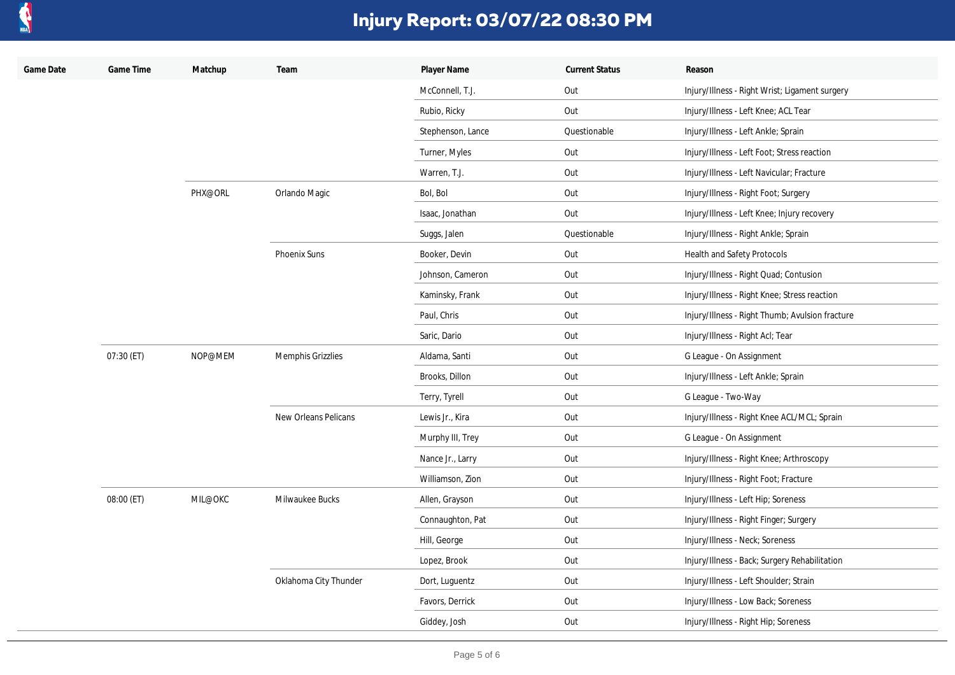

| Game Date | Game Time  | Matchup | Team                  | Player Name       | <b>Current Status</b> | Reason                                          |
|-----------|------------|---------|-----------------------|-------------------|-----------------------|-------------------------------------------------|
|           |            |         |                       | McConnell, T.J.   | Out                   | Injury/Illness - Right Wrist; Ligament surgery  |
|           |            |         |                       | Rubio, Ricky      | Out                   | Injury/Illness - Left Knee; ACL Tear            |
|           |            |         |                       | Stephenson, Lance | Questionable          | Injury/Illness - Left Ankle; Sprain             |
|           |            |         |                       | Turner, Myles     | Out                   | Injury/Illness - Left Foot; Stress reaction     |
|           |            |         |                       | Warren, T.J.      | Out                   | Injury/Illness - Left Navicular; Fracture       |
|           |            | PHX@ORL | Orlando Magic         | Bol, Bol          | Out                   | Injury/Illness - Right Foot; Surgery            |
|           |            |         |                       | Isaac, Jonathan   | Out                   | Injury/Illness - Left Knee; Injury recovery     |
|           |            |         |                       | Suggs, Jalen      | Questionable          | Injury/Illness - Right Ankle; Sprain            |
|           |            |         | Phoenix Suns          | Booker, Devin     | Out                   | <b>Health and Safety Protocols</b>              |
|           |            |         |                       | Johnson, Cameron  | Out                   | Injury/Illness - Right Quad; Contusion          |
|           |            |         |                       | Kaminsky, Frank   | Out                   | Injury/Illness - Right Knee; Stress reaction    |
|           |            |         |                       | Paul, Chris       | Out                   | Injury/Illness - Right Thumb; Avulsion fracture |
|           |            |         |                       | Saric, Dario      | Out                   | Injury/Illness - Right Acl; Tear                |
|           | 07:30 (ET) | NOP@MEM | Memphis Grizzlies     | Aldama, Santi     | Out                   | G League - On Assignment                        |
|           |            |         |                       | Brooks, Dillon    | Out                   | Injury/Illness - Left Ankle; Sprain             |
|           |            |         |                       | Terry, Tyrell     | Out                   | G League - Two-Way                              |
|           |            |         | New Orleans Pelicans  | Lewis Jr., Kira   | Out                   | Injury/Illness - Right Knee ACL/MCL; Sprain     |
|           |            |         |                       | Murphy III, Trey  | Out                   | G League - On Assignment                        |
|           |            |         |                       | Nance Jr., Larry  | Out                   | Injury/Illness - Right Knee; Arthroscopy        |
|           |            |         |                       | Williamson, Zion  | Out                   | Injury/Illness - Right Foot; Fracture           |
|           | 08:00 (ET) | MIL@OKC | Milwaukee Bucks       | Allen, Grayson    | Out                   | Injury/Illness - Left Hip; Soreness             |
|           |            |         |                       | Connaughton, Pat  | Out                   | Injury/Illness - Right Finger; Surgery          |
|           |            |         |                       | Hill, George      | Out                   | Injury/Illness - Neck; Soreness                 |
|           |            |         |                       | Lopez, Brook      | Out                   | Injury/Illness - Back; Surgery Rehabilitation   |
|           |            |         | Oklahoma City Thunder | Dort, Luguentz    | Out                   | Injury/Illness - Left Shoulder; Strain          |
|           |            |         |                       | Favors, Derrick   | Out                   | Injury/Illness - Low Back; Soreness             |
|           |            |         |                       | Giddey, Josh      | Out                   | Injury/Illness - Right Hip; Soreness            |
|           |            |         |                       |                   |                       |                                                 |